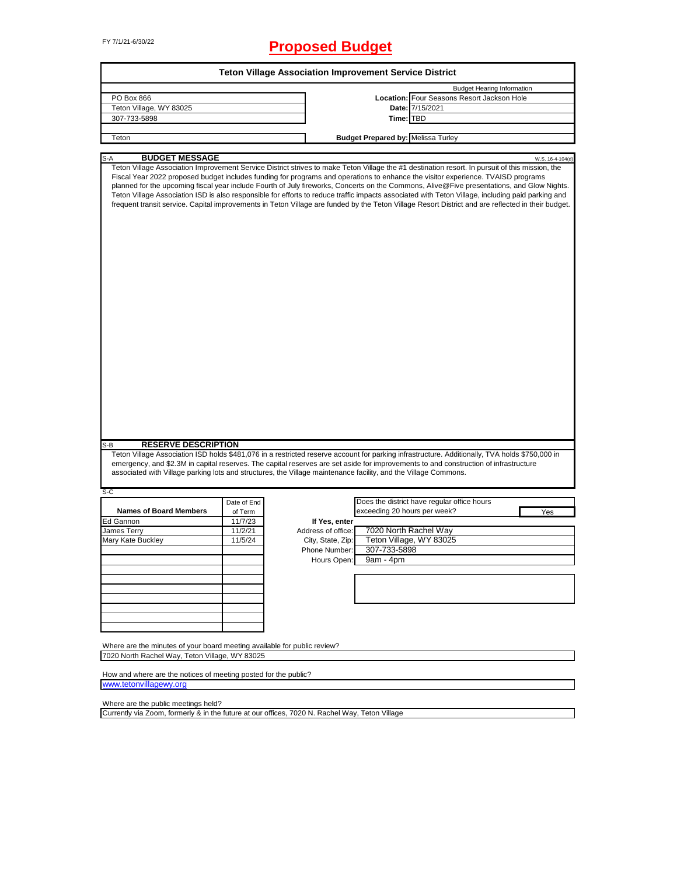# FY 7/1/21-6/30/22 **Proposed Budget**

|                                                                                                                                             |                        |                    | <b>Teton Village Association Improvement Service District</b>                                                                                                                                                                                                                                                                                                                                                                                                                                                                                                                                                                                                                                                                                |                  |
|---------------------------------------------------------------------------------------------------------------------------------------------|------------------------|--------------------|----------------------------------------------------------------------------------------------------------------------------------------------------------------------------------------------------------------------------------------------------------------------------------------------------------------------------------------------------------------------------------------------------------------------------------------------------------------------------------------------------------------------------------------------------------------------------------------------------------------------------------------------------------------------------------------------------------------------------------------------|------------------|
|                                                                                                                                             |                        |                    | <b>Budget Hearing Information</b>                                                                                                                                                                                                                                                                                                                                                                                                                                                                                                                                                                                                                                                                                                            |                  |
| PO Box 866                                                                                                                                  |                        |                    | Location: Four Seasons Resort Jackson Hole                                                                                                                                                                                                                                                                                                                                                                                                                                                                                                                                                                                                                                                                                                   |                  |
| Teton Village, WY 83025                                                                                                                     |                        |                    | Date: 7/15/2021                                                                                                                                                                                                                                                                                                                                                                                                                                                                                                                                                                                                                                                                                                                              |                  |
| 307-733-5898                                                                                                                                |                        |                    | Time: TBD                                                                                                                                                                                                                                                                                                                                                                                                                                                                                                                                                                                                                                                                                                                                    |                  |
|                                                                                                                                             |                        |                    |                                                                                                                                                                                                                                                                                                                                                                                                                                                                                                                                                                                                                                                                                                                                              |                  |
| Teton                                                                                                                                       |                        |                    | <b>Budget Prepared by: Melissa Turley</b>                                                                                                                                                                                                                                                                                                                                                                                                                                                                                                                                                                                                                                                                                                    |                  |
|                                                                                                                                             |                        |                    |                                                                                                                                                                                                                                                                                                                                                                                                                                                                                                                                                                                                                                                                                                                                              |                  |
| <b>BUDGET MESSAGE</b><br>$S-A$                                                                                                              |                        |                    | Teton Village Association Improvement Service District strives to make Teton Village the #1 destination resort. In pursuit of this mission, the<br>Fiscal Year 2022 proposed budget includes funding for programs and operations to enhance the visitor experience. TVAISD programs<br>planned for the upcoming fiscal year include Fourth of July fireworks, Concerts on the Commons, Alive@Five presentations, and Glow Nights.<br>Teton Village Association ISD is also responsible for efforts to reduce traffic impacts associated with Teton Village, including paid parking and<br>frequent transit service. Capital improvements in Teton Village are funded by the Teton Village Resort District and are reflected in their budget. | W.S. 16-4-104(d) |
|                                                                                                                                             |                        |                    |                                                                                                                                                                                                                                                                                                                                                                                                                                                                                                                                                                                                                                                                                                                                              |                  |
| <b>RESERVE DESCRIPTION</b><br>$S-B$                                                                                                         |                        |                    | Teton Village Association ISD holds \$481,076 in a restricted reserve account for parking infrastructure. Additionally, TVA holds \$750,000 in                                                                                                                                                                                                                                                                                                                                                                                                                                                                                                                                                                                               |                  |
|                                                                                                                                             |                        |                    | emergency, and \$2.3M in capital reserves. The capital reserves are set aside for improvements to and construction of infrastructure<br>associated with Village parking lots and structures, the Village maintenance facility, and the Village Commons.                                                                                                                                                                                                                                                                                                                                                                                                                                                                                      |                  |
| S-C                                                                                                                                         |                        |                    | Does the district have regular office hours                                                                                                                                                                                                                                                                                                                                                                                                                                                                                                                                                                                                                                                                                                  |                  |
| <b>Names of Board Members</b>                                                                                                               | Date of End<br>of Term |                    | exceeding 20 hours per week?                                                                                                                                                                                                                                                                                                                                                                                                                                                                                                                                                                                                                                                                                                                 | Yes              |
| Ed Gannon                                                                                                                                   | 11/7/23                | If Yes, enter      |                                                                                                                                                                                                                                                                                                                                                                                                                                                                                                                                                                                                                                                                                                                                              |                  |
| James Terry                                                                                                                                 | 11/2/21                | Address of office: | 7020 North Rachel Way                                                                                                                                                                                                                                                                                                                                                                                                                                                                                                                                                                                                                                                                                                                        |                  |
| Mary Kate Buckley                                                                                                                           | 11/5/24                | City, State, Zip:  | Teton Village, WY 83025                                                                                                                                                                                                                                                                                                                                                                                                                                                                                                                                                                                                                                                                                                                      |                  |
|                                                                                                                                             |                        | Phone Number:      | 307-733-5898                                                                                                                                                                                                                                                                                                                                                                                                                                                                                                                                                                                                                                                                                                                                 |                  |
|                                                                                                                                             |                        |                    |                                                                                                                                                                                                                                                                                                                                                                                                                                                                                                                                                                                                                                                                                                                                              |                  |
|                                                                                                                                             |                        | Hours Open:        | 9am - 4pm                                                                                                                                                                                                                                                                                                                                                                                                                                                                                                                                                                                                                                                                                                                                    |                  |
|                                                                                                                                             |                        |                    |                                                                                                                                                                                                                                                                                                                                                                                                                                                                                                                                                                                                                                                                                                                                              |                  |
|                                                                                                                                             |                        |                    |                                                                                                                                                                                                                                                                                                                                                                                                                                                                                                                                                                                                                                                                                                                                              |                  |
|                                                                                                                                             |                        |                    |                                                                                                                                                                                                                                                                                                                                                                                                                                                                                                                                                                                                                                                                                                                                              |                  |
|                                                                                                                                             |                        |                    |                                                                                                                                                                                                                                                                                                                                                                                                                                                                                                                                                                                                                                                                                                                                              |                  |
|                                                                                                                                             |                        |                    |                                                                                                                                                                                                                                                                                                                                                                                                                                                                                                                                                                                                                                                                                                                                              |                  |
|                                                                                                                                             |                        |                    |                                                                                                                                                                                                                                                                                                                                                                                                                                                                                                                                                                                                                                                                                                                                              |                  |
|                                                                                                                                             |                        |                    |                                                                                                                                                                                                                                                                                                                                                                                                                                                                                                                                                                                                                                                                                                                                              |                  |
|                                                                                                                                             |                        |                    |                                                                                                                                                                                                                                                                                                                                                                                                                                                                                                                                                                                                                                                                                                                                              |                  |
| Where are the minutes of your board meeting available for public review?                                                                    |                        |                    |                                                                                                                                                                                                                                                                                                                                                                                                                                                                                                                                                                                                                                                                                                                                              |                  |
|                                                                                                                                             |                        |                    |                                                                                                                                                                                                                                                                                                                                                                                                                                                                                                                                                                                                                                                                                                                                              |                  |
|                                                                                                                                             |                        |                    |                                                                                                                                                                                                                                                                                                                                                                                                                                                                                                                                                                                                                                                                                                                                              |                  |
|                                                                                                                                             |                        |                    |                                                                                                                                                                                                                                                                                                                                                                                                                                                                                                                                                                                                                                                                                                                                              |                  |
| 7020 North Rachel Way, Teton Village, WY 83025<br>How and where are the notices of meeting posted for the public?<br>www.tetonvillagewy.org |                        |                    |                                                                                                                                                                                                                                                                                                                                                                                                                                                                                                                                                                                                                                                                                                                                              |                  |

Where are the public meetings held?

Currently via Zoom, formerly & in the future at our offices, 7020 N. Rachel Way, Teton Village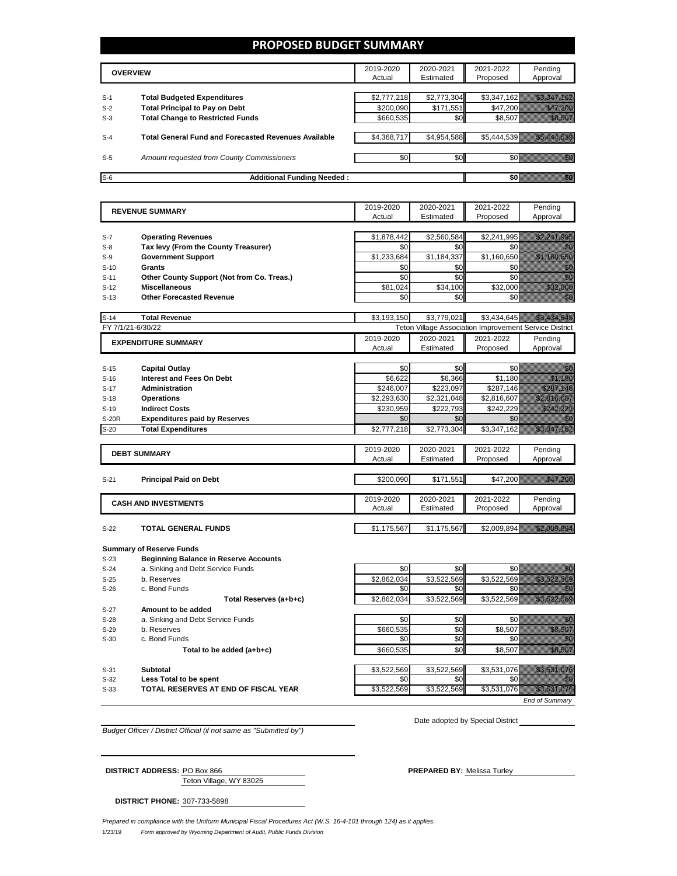#### **PROPOSED BUDGET SUMMARY**

|       | <b>OVERVIEW</b>                                             | 2019-2020<br>Actual | 2020-2021<br>Estimated | 2021-2022<br>Proposed | Pending<br>Approval |
|-------|-------------------------------------------------------------|---------------------|------------------------|-----------------------|---------------------|
|       |                                                             |                     |                        |                       |                     |
| $S-1$ | <b>Total Budgeted Expenditures</b>                          | \$2,777,218         | \$2,773,304            | \$3,347,162           |                     |
| $S-2$ | <b>Total Principal to Pay on Debt</b>                       | \$200.090           | \$171.551              | \$47.200              |                     |
| $S-3$ | <b>Total Change to Restricted Funds</b>                     | \$660,535           | \$0 <sub>1</sub>       | \$8,507               |                     |
|       |                                                             |                     |                        |                       |                     |
| $S-4$ | <b>Total General Fund and Forecasted Revenues Available</b> | \$4,368,717         | \$4,954,588            | \$5.444.539           |                     |
|       |                                                             |                     |                        |                       |                     |
| $S-5$ | Amount requested from County Commissioners                  | \$0                 | \$0 <sub>1</sub>       |                       |                     |
|       |                                                             |                     |                        |                       |                     |
| $S-6$ | <b>Additional Funding Needed:</b>                           |                     |                        |                       |                     |

| <b>REVENUE SUMMARY</b> |                                              | 2019-2020   | 2020-2021   | 2021-2022                                              | Pending                                                                                                                        |
|------------------------|----------------------------------------------|-------------|-------------|--------------------------------------------------------|--------------------------------------------------------------------------------------------------------------------------------|
|                        |                                              | Actual      | Estimated   | Proposed                                               | Approval                                                                                                                       |
|                        |                                              |             |             |                                                        |                                                                                                                                |
| $S-7$                  | <b>Operating Revenues</b>                    | \$1,878,442 | \$2,560,584 | \$2,241,995                                            | <u>istorialistika k</u>                                                                                                        |
| $S-8$                  | Tax levy (From the County Treasurer)         | \$0         | \$0         | \$0                                                    |                                                                                                                                |
| S-9                    | <b>Government Support</b>                    | \$1,233,684 | \$1,184,337 | \$1,160,650                                            | <u> Karl Sara</u>                                                                                                              |
| $S-10$                 | <b>Grants</b>                                | \$0         | \$0         | \$0                                                    | e de la provincia de la provincia de la provincia de la provincia de la provincia de la provincia de la provin<br>Constituidad |
| $S-11$                 | Other County Support (Not from Co. Treas.)   | \$0         | \$0         | \$0                                                    |                                                                                                                                |
| $S-12$                 | <b>Miscellaneous</b>                         | \$81.024    | \$34,100    | \$32,000                                               | <u> Harrison (</u>                                                                                                             |
| $S-13$                 | <b>Other Forecasted Revenue</b>              | \$0         | \$0         | \$0                                                    | ni dhe                                                                                                                         |
|                        |                                              |             |             |                                                        |                                                                                                                                |
| $S-14$                 | <b>Total Revenue</b>                         | \$3,193,150 | \$3,779,021 | \$3,434,645                                            |                                                                                                                                |
|                        | FY 7/1/21-6/30/22                            |             |             | Teton Village Association Improvement Service District |                                                                                                                                |
|                        | <b>EXPENDITURE SUMMARY</b>                   | 2019-2020   | 2020-2021   | 2021-2022                                              | Pending                                                                                                                        |
|                        |                                              | Actual      | Estimated   | Proposed                                               | Approval                                                                                                                       |
|                        |                                              |             |             |                                                        |                                                                                                                                |
| $S-15$                 | <b>Capital Outlay</b>                        | \$0         | \$0         | \$0                                                    | 11                                                                                                                             |
| $S-16$                 | Interest and Fees On Debt                    | \$6.622     | \$6.366     | \$1.180                                                | <u>Mille Sa</u>                                                                                                                |
| $S-17$                 | Administration                               | \$246,007   | \$223,097   | \$287,146                                              | <u>simon ka</u>                                                                                                                |
| $S-18$                 | <b>Operations</b>                            | \$2,293,630 | \$2,321,048 | \$2,816,607                                            | <u> Kalendari (K. 1989)</u>                                                                                                    |
| $S-19$                 | <b>Indirect Costs</b>                        | \$230,959   | \$222,793   | \$242.229                                              | <u> Hillen Miller Son</u>                                                                                                      |
| S-20R                  | <b>Expenditures paid by Reserves</b>         | \$0         | \$0         | \$0                                                    |                                                                                                                                |
| $S-20$                 | <b>Total Expenditures</b>                    | \$2,777,218 | \$2,773,304 | \$3,347,162                                            | <u> Kalendari (Kalendari </u>                                                                                                  |
|                        |                                              |             |             |                                                        |                                                                                                                                |
|                        | <b>DEBT SUMMARY</b>                          | 2019-2020   | 2020-2021   | 2021-2022                                              | Pending                                                                                                                        |
|                        |                                              | Actual      | Estimated   | Proposed                                               | Approval                                                                                                                       |
|                        |                                              |             |             |                                                        |                                                                                                                                |
| $S-21$                 | <b>Principal Paid on Debt</b>                | \$200,090   | \$171,551   | \$47,200                                               | <u> Karlin Barat (</u>                                                                                                         |
|                        |                                              |             |             |                                                        |                                                                                                                                |
|                        | <b>CASH AND INVESTMENTS</b>                  | 2019-2020   | 2020-2021   | 2021-2022                                              | Pending                                                                                                                        |
|                        |                                              | Actual      | Estimated   | Proposed                                               | Approval                                                                                                                       |
|                        |                                              |             |             |                                                        |                                                                                                                                |
| $S-22$                 | <b>TOTAL GENERAL FUNDS</b>                   | \$1,175,567 | \$1,175,567 | \$2,009,894                                            | <u> Hillisson (Sala</u>                                                                                                        |
|                        |                                              |             |             |                                                        |                                                                                                                                |
|                        | <b>Summary of Reserve Funds</b>              |             |             |                                                        |                                                                                                                                |
| $S-23$                 | <b>Beginning Balance in Reserve Accounts</b> |             |             |                                                        |                                                                                                                                |

S-27 **Amount to be added**<br>S-28 **a.** Sinking and Debt Se S-28 a. Sinking and Debt Service Funds \$0 \$0 \$0 \$0

S-24 a. Sinking and Debt Service Funds<br>
S-25 b. Reserves b. Reserves S-25 b. Reserves \$2,862,034 \$3,522,569 \$3,522,569 \$ S-26 c. Bond Funds  $\begin{bmatrix} 50 \\ 0 \end{bmatrix}$   $\begin{bmatrix} 50 \\ 50 \end{bmatrix}$   $\begin{bmatrix} 50 \\ 50 \end{bmatrix}$   $\begin{bmatrix} 50 \\ 50 \end{bmatrix}$ Total Reserves (a+b+c)  $$3,522,569$   $$3,522,569$   $$3,522,569$ S-29 b. Reserves \$660,535 \$0 \$8,507 \$8,507  $S-30$  c. Bond Funds  $S-30$   $S0$   $S0$   $S0$   $S0$ **Total to be added (a+b+c)**  $$660,535$   $$0$  \$8,507 S-31 **Subtotal** \$3,522,569 \$3,522,569 \$3,531,076 \$3,531,076 S-32 **Less Total to be spent** \$0 \$0 \$0 \$0 S-33 **TOTAL RESERVES AT END OF FISCAL YEAR** \$3,522,569 \$3,522,569 \$3,522,569 \$3,531,076 \$3,531,076

*End of Summary*

*Budget Officer / District Official (if not same as "Submitted by")*

Date adopted by Special District

Teton Village, WY 83025 **DISTRICT ADDRESS:** PO Box 866 **PREPARED BY:** Melissa Turley

**DISTRICT PHONE:** 307-733-5898

1/23/19 *Form approved by Wyoming Department of Audit, Public Funds Division Prepared in compliance with the Uniform Municipal Fiscal Procedures Act (W.S. 16-4-101 through 124) as it applies.*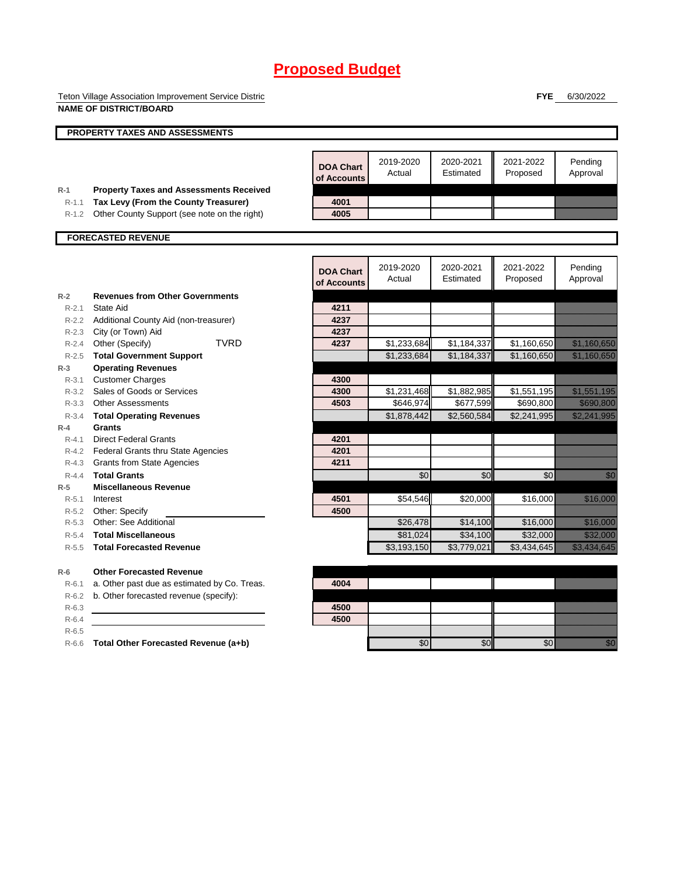Teton Village Association Improvement Service District **NAME OF DISTRICT/BOARD**

**FYE** 6/30/2022

|                  | <b>PROPERTY TAXES AND ASSESSMENTS</b>                                         |                                 |                     |                        |                       |                                                                                                                                                                                                                                  |
|------------------|-------------------------------------------------------------------------------|---------------------------------|---------------------|------------------------|-----------------------|----------------------------------------------------------------------------------------------------------------------------------------------------------------------------------------------------------------------------------|
|                  |                                                                               |                                 |                     |                        |                       |                                                                                                                                                                                                                                  |
|                  |                                                                               | <b>DOA Chart</b><br>of Accounts | 2019-2020<br>Actual | 2020-2021<br>Estimated | 2021-2022<br>Proposed | Pending<br>Approval                                                                                                                                                                                                              |
| $R-1$            | <b>Property Taxes and Assessments Received</b>                                |                                 |                     |                        |                       |                                                                                                                                                                                                                                  |
| $R-1.1$          | Tax Levy (From the County Treasurer)                                          | 4001                            |                     |                        |                       |                                                                                                                                                                                                                                  |
| $R-1.2$          | Other County Support (see note on the right)                                  | 4005                            |                     |                        |                       |                                                                                                                                                                                                                                  |
|                  | <b>FORECASTED REVENUE</b>                                                     |                                 |                     |                        |                       |                                                                                                                                                                                                                                  |
|                  |                                                                               |                                 |                     |                        |                       |                                                                                                                                                                                                                                  |
|                  |                                                                               | <b>DOA Chart</b><br>of Accounts | 2019-2020<br>Actual | 2020-2021<br>Estimated | 2021-2022<br>Proposed | Pending<br>Approval                                                                                                                                                                                                              |
| $R-2$            | <b>Revenues from Other Governments</b>                                        |                                 |                     |                        |                       |                                                                                                                                                                                                                                  |
| $R - 2.1$        | State Aid                                                                     | 4211                            |                     |                        |                       |                                                                                                                                                                                                                                  |
|                  | R-2.2 Additional County Aid (non-treasurer)                                   | 4237                            |                     |                        |                       |                                                                                                                                                                                                                                  |
|                  | R-2.3 City (or Town) Aid                                                      | 4237                            |                     |                        |                       |                                                                                                                                                                                                                                  |
| R-2.4            | <b>TVRD</b><br>Other (Specify)                                                | 4237                            | \$1,233,684         | \$1,184,337            | \$1,160,650           |                                                                                                                                                                                                                                  |
| $R-2.5$          | <b>Total Government Support</b>                                               |                                 | \$1,233,684         | \$1,184,337            | \$1,160,650           | <u> Elizabeth Charles Charles Charles Charles Charles Charles Charles Charles Charles Charles Charles Charles Ch</u>                                                                                                             |
| $R-3$            | <b>Operating Revenues</b>                                                     |                                 |                     |                        |                       |                                                                                                                                                                                                                                  |
| $R - 3.1$        | <b>Customer Charges</b>                                                       | 4300                            |                     |                        |                       |                                                                                                                                                                                                                                  |
| R-3.2            | Sales of Goods or Services                                                    | 4300                            | \$1,231,468         | \$1,882,985            | \$1,551,195           | <u> Elizabeth Carlotta (</u>                                                                                                                                                                                                     |
|                  | R-3.3 Other Assessments                                                       | 4503                            | \$646,974           | \$677,599              | \$690,800             | <u>ti ka</u>                                                                                                                                                                                                                     |
| $R - 3.4$        | <b>Total Operating Revenues</b>                                               |                                 | \$1,878,442         | \$2,560,584            | \$2,241,995           | <u>Tillitek allmän</u>                                                                                                                                                                                                           |
| $R-4$            | Grants                                                                        |                                 |                     |                        |                       |                                                                                                                                                                                                                                  |
| $R - 4.1$        | <b>Direct Federal Grants</b>                                                  | 4201                            |                     |                        |                       |                                                                                                                                                                                                                                  |
|                  | R-4.2 Federal Grants thru State Agencies<br><b>Grants from State Agencies</b> | 4201<br>4211                    |                     |                        |                       |                                                                                                                                                                                                                                  |
| R-4.3            | <b>Total Grants</b>                                                           |                                 |                     |                        |                       |                                                                                                                                                                                                                                  |
| $R-4.4$<br>$R-5$ | <b>Miscellaneous Revenue</b>                                                  |                                 | \$0                 | \$0                    | \$0                   | e de la concellativa de la concellativa de la concellativa de la concellativa de la concellativa de la concell<br>Concellativa de la concellativa de la concellativa de la concellativa de la concellativa de la concellativa de |
| $R - 5.1$        | Interest                                                                      | 4501                            | \$54,546            | \$20,000               | \$16,000              | <u> Karl Barat Sara</u>                                                                                                                                                                                                          |
|                  | R-5.2 Other: Specify                                                          | 4500                            |                     |                        |                       |                                                                                                                                                                                                                                  |
| $R - 5.3$        | Other: See Additional                                                         |                                 | \$26,478            | \$14,100               | \$16,000              | <u> Mariji (</u>                                                                                                                                                                                                                 |
| $R - 5.4$        | <b>Total Miscellaneous</b>                                                    |                                 | \$81,024            | \$34,100               | \$32,000              | <u> Kalendari Se</u>                                                                                                                                                                                                             |
| $R - 5.5$        | <b>Total Forecasted Revenue</b>                                               |                                 | \$3,193,150         | \$3,779,021            | \$3,434,645           | a katika katika katika katika katika katika katika katika katika katika katika katika katika katika katika kat<br>Katika katika katika katika katika katika katika katika katika katika katika katika katika katika katika katik |
|                  |                                                                               |                                 |                     |                        |                       |                                                                                                                                                                                                                                  |
| $R-6$            | <b>Other Forecasted Revenue</b>                                               |                                 |                     |                        |                       |                                                                                                                                                                                                                                  |
| $R-6.1$          | a. Other past due as estimated by Co. Treas.                                  | 4004                            |                     |                        |                       |                                                                                                                                                                                                                                  |
| $R-6.2$          | b. Other forecasted revenue (specify):                                        |                                 |                     |                        |                       |                                                                                                                                                                                                                                  |
| $R-6.3$          |                                                                               | 4500                            |                     |                        |                       |                                                                                                                                                                                                                                  |
| $R-6.4$          |                                                                               | 4500                            |                     |                        |                       |                                                                                                                                                                                                                                  |
| $R-6.5$          |                                                                               |                                 |                     |                        |                       |                                                                                                                                                                                                                                  |
| $R-6.6$          | Total Other Forecasted Revenue (a+b)                                          |                                 | \$0                 | \$0                    | \$0                   | <u>Mill</u>                                                                                                                                                                                                                      |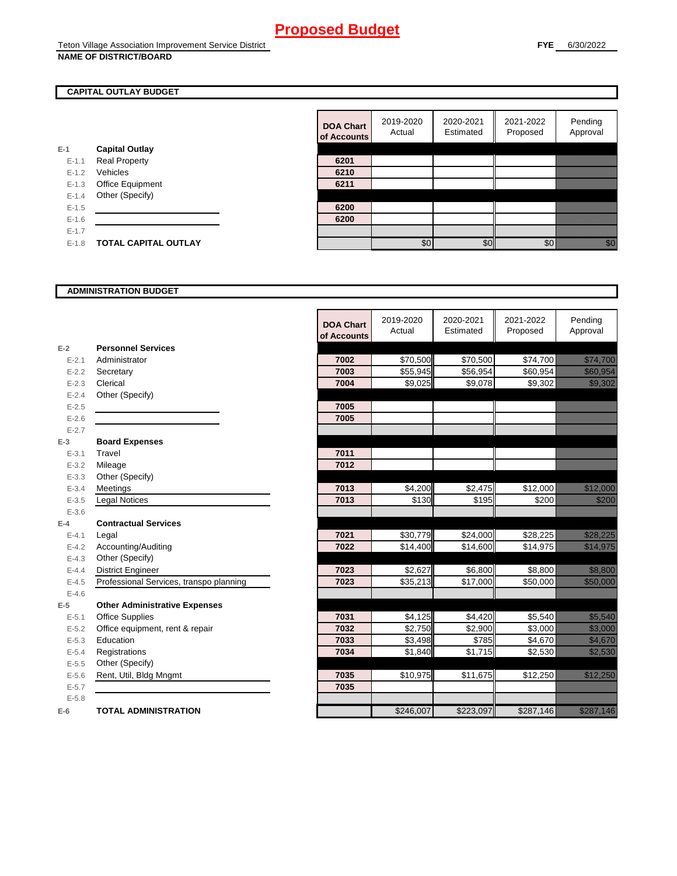### **NAME OF DISTRICT/BOARD**

#### **CAPITAL OUTLAY BUDGET**

|           |                             | vi nuuv |
|-----------|-----------------------------|---------|
| E-1       | <b>Capital Outlay</b>       |         |
| $E - 1.1$ | <b>Real Property</b>        | 6201    |
| $E - 1.2$ | Vehicles                    | 6210    |
| $E-1.3$   | Office Equipment            | 6211    |
| $E - 1.4$ | Other (Specify)             |         |
| $E - 1.5$ |                             | 6200    |
| $E - 1.6$ |                             | 6200    |
| $E - 1.7$ |                             |         |
| $E - 1.8$ | <b>TOTAL CAPITAL OUTLAY</b> |         |
|           |                             |         |

| <b>DOA Chart</b><br>of Accounts | 2019-2020<br>Actual | 2020-2021<br>Estimated | 2021-2022<br>Proposed | Pending<br>Approval |
|---------------------------------|---------------------|------------------------|-----------------------|---------------------|
|                                 |                     |                        |                       |                     |
| 6201                            |                     |                        |                       |                     |
| 6210                            |                     |                        |                       |                     |
| 6211                            |                     |                        |                       |                     |
|                                 |                     |                        |                       |                     |
| 6200                            |                     |                        |                       |                     |
| 6200                            |                     |                        |                       |                     |
|                                 |                     |                        |                       |                     |
|                                 |                     |                        |                       |                     |

#### **ADMINISTRATION BUDGET**

|           |                                         | <b>DOA Chart</b><br>of Accounts | 2019-2020<br>Actual | 2020-2021<br>Estimated | 2021-2022<br>Proposed | Pending<br>Approval                                                                                                                                                                                                             |
|-----------|-----------------------------------------|---------------------------------|---------------------|------------------------|-----------------------|---------------------------------------------------------------------------------------------------------------------------------------------------------------------------------------------------------------------------------|
| $E-2$     | <b>Personnel Services</b>               |                                 |                     |                        |                       |                                                                                                                                                                                                                                 |
| $E - 2.1$ | Administrator                           | 7002                            | \$70,500            | \$70,500               | \$74,700              | <u>ilikuwa kutoka mwaka wa Tanzania alikuwa mwiliozaliwa mwiliozaliwa mwiliozaliwa mwiliozaliwa mwiliozaliwa na </u>                                                                                                            |
| $E - 2.2$ | Secretary                               | 7003                            | \$55,945            | \$56,954               | \$60,954              | <u> Kabupatén</u>                                                                                                                                                                                                               |
| $E - 2.3$ | Clerical                                | 7004                            | \$9,025             | \$9,078                | \$9,302               | <u> Kalifornia (</u>                                                                                                                                                                                                            |
| $E - 2.4$ | Other (Specify)                         |                                 |                     |                        |                       |                                                                                                                                                                                                                                 |
| $E - 2.5$ |                                         | 7005                            |                     |                        |                       |                                                                                                                                                                                                                                 |
| $E - 2.6$ |                                         | 7005                            |                     |                        |                       |                                                                                                                                                                                                                                 |
| $E - 2.7$ |                                         |                                 |                     |                        |                       |                                                                                                                                                                                                                                 |
| $E-3$     | <b>Board Expenses</b>                   |                                 |                     |                        |                       |                                                                                                                                                                                                                                 |
| $E - 3.1$ | Travel                                  | 7011                            |                     |                        |                       |                                                                                                                                                                                                                                 |
| $E - 3.2$ | Mileage                                 | 7012                            |                     |                        |                       |                                                                                                                                                                                                                                 |
| $E - 3.3$ | Other (Specify)                         |                                 |                     |                        |                       |                                                                                                                                                                                                                                 |
| $E - 3.4$ | Meetings                                | 7013                            | \$4,200             | \$2,475                | \$12,000              | <u>elikuwa kutoka m</u>                                                                                                                                                                                                         |
| $E - 3.5$ | <b>Legal Notices</b>                    | 7013                            | \$130               | \$195                  | \$200                 | <u>till sta</u>                                                                                                                                                                                                                 |
| $E - 3.6$ |                                         |                                 |                     |                        |                       |                                                                                                                                                                                                                                 |
| $E-4$     | <b>Contractual Services</b>             |                                 |                     |                        |                       |                                                                                                                                                                                                                                 |
| $E - 4.1$ | Legal                                   | 7021                            | \$30,779            | \$24,000               | \$28,225              | a ang pag-ang ang pag-ang ang pag-ang ang pag-ang ang pag-ang ang pag-ang ang pag-ang ang pag-ang ang pag-ang<br>Pag-ang pag-ang pag-ang pag-ang pag-ang pag-ang pag-ang pag-ang pag-ang pag-ang pag-ang pag-ang pag-ang pag-an |
| $E-4.2$   | Accounting/Auditing                     | 7022                            | \$14,400            | \$14,600               | \$14,975              | <u>tika kuning ka</u>                                                                                                                                                                                                           |
| $E - 4.3$ | Other (Specify)                         |                                 |                     |                        |                       |                                                                                                                                                                                                                                 |
| $E-4.4$   | <b>District Engineer</b>                | 7023                            | \$2,627             | \$6,800                | \$8,800               | <u>tik ka</u>                                                                                                                                                                                                                   |
| $E-4.5$   | Professional Services, transpo planning | 7023                            | \$35,213            | \$17,000               | \$50,000              | <u> Karl Sara</u>                                                                                                                                                                                                               |
| $E-4.6$   |                                         |                                 |                     |                        |                       |                                                                                                                                                                                                                                 |
| $E-5$     | <b>Other Administrative Expenses</b>    |                                 |                     |                        |                       |                                                                                                                                                                                                                                 |
| $E - 5.1$ | <b>Office Supplies</b>                  | 7031                            | \$4,125             | \$4,420                | \$5,540               | <u> Karl Sara</u>                                                                                                                                                                                                               |
| $E - 5.2$ | Office equipment, rent & repair         | 7032                            | \$2,750             | \$2,900                | \$3,000               | <u> Mariji (</u>                                                                                                                                                                                                                |
| $E - 5.3$ | Education                               | 7033                            | \$3,498             | \$785                  | \$4,670               | <u>ti kalendari se</u>                                                                                                                                                                                                          |
| $E - 5.4$ | Registrations                           | 7034                            | \$1,840             | \$1,715                | \$2,530               | <u>ta ka</u>                                                                                                                                                                                                                    |
| $E-5.5$   | Other (Specify)                         |                                 |                     |                        |                       |                                                                                                                                                                                                                                 |
| $E - 5.6$ | Rent, Util, Bldg Mngmt                  | 7035                            | \$10,975            | \$11,675               | \$12,250              | <u> Karlin Mariji (</u>                                                                                                                                                                                                         |
| $E - 5.7$ |                                         | 7035                            |                     |                        |                       |                                                                                                                                                                                                                                 |
| $E - 5.8$ |                                         |                                 |                     |                        |                       |                                                                                                                                                                                                                                 |
| $E-6$     | <b>TOTAL ADMINISTRATION</b>             |                                 | \$246,007           | \$223,097              | \$287,146             | <u>ka kultura k</u>                                                                                                                                                                                                             |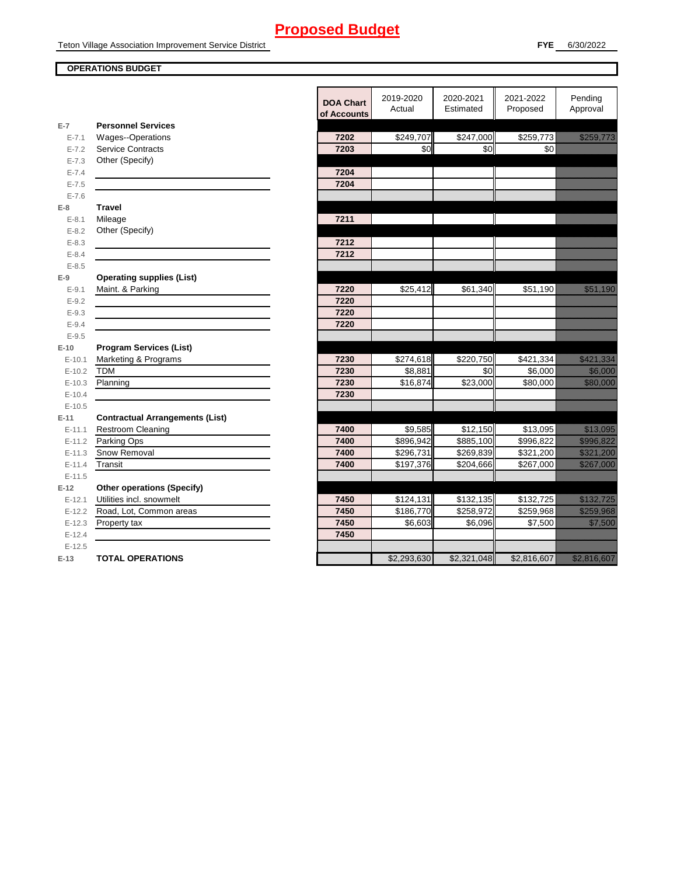#### **OPERATIONS BUDGET**

en de la familie de la familie de la familie de la familie de la familie de la familie de la familie de la fam<br>Décembre de la familie de la familie de la familie de la familie de la familie de la familie de la familie de

|           |                                        | <b>DOA Chart</b><br>of Accounts | 2019-2020<br>Actual | 2020-2021<br>Estimated | 2021-2022<br>Proposed | Pending<br>Approval                                                                                                    |
|-----------|----------------------------------------|---------------------------------|---------------------|------------------------|-----------------------|------------------------------------------------------------------------------------------------------------------------|
| $E-7$     | <b>Personnel Services</b>              |                                 |                     |                        |                       |                                                                                                                        |
| $E - 7.1$ | Wages--Operations                      | 7202                            | \$249,707           | \$247,000              | \$259,773             | a katika katika katika katika katika katika alifuwa na katika katika alifuwa na katika alifuwa na katika alifu         |
| $E - 7.2$ | <b>Service Contracts</b>               | 7203                            | \$0                 | \$0                    | \$0                   |                                                                                                                        |
| $E - 7.3$ | Other (Specify)                        |                                 |                     |                        |                       |                                                                                                                        |
| $E - 7.4$ |                                        | 7204                            |                     |                        |                       |                                                                                                                        |
| $E - 7.5$ |                                        | 7204                            |                     |                        |                       |                                                                                                                        |
| $E - 7.6$ |                                        |                                 |                     |                        |                       |                                                                                                                        |
| $E-8$     | <b>Travel</b>                          |                                 |                     |                        |                       |                                                                                                                        |
| $E - 8.1$ | Mileage                                | 7211                            |                     |                        |                       |                                                                                                                        |
| $E - 8.2$ | Other (Specify)                        |                                 |                     |                        |                       |                                                                                                                        |
| $E - 8.3$ |                                        | 7212                            |                     |                        |                       |                                                                                                                        |
| $E - 8.4$ |                                        | 7212                            |                     |                        |                       |                                                                                                                        |
| $E - 8.5$ |                                        |                                 |                     |                        |                       |                                                                                                                        |
| $E-9$     | <b>Operating supplies (List)</b>       |                                 |                     |                        |                       |                                                                                                                        |
| $E-9.1$   | Maint. & Parking                       | 7220                            | \$25,412            | \$61,340               | \$51,190              | <u>tionalisest</u>                                                                                                     |
| $E - 9.2$ |                                        | 7220                            |                     |                        |                       |                                                                                                                        |
| $E-9.3$   |                                        | 7220                            |                     |                        |                       |                                                                                                                        |
| $E - 9.4$ |                                        | 7220                            |                     |                        |                       |                                                                                                                        |
| $E - 9.5$ |                                        |                                 |                     |                        |                       |                                                                                                                        |
| $E-10$    | <b>Program Services (List)</b>         |                                 |                     |                        |                       |                                                                                                                        |
| $E-10.1$  | Marketing & Programs                   | 7230                            | \$274,618           | \$220,750              | \$421,334             | <u>eliteratur in den sta</u>                                                                                           |
| $E-10.2$  | <b>TDM</b>                             | 7230                            | \$8,881             | \$0                    | \$6,000               | <u> Karatika Ka</u>                                                                                                    |
| $E-10.3$  | Planning                               | 7230                            | \$16,874            | \$23,000               | \$80,000              | <u>tion and</u>                                                                                                        |
| $E-10.4$  |                                        | 7230                            |                     |                        |                       |                                                                                                                        |
| $E-10.5$  |                                        |                                 |                     |                        |                       |                                                                                                                        |
| $E-11$    | <b>Contractual Arrangements (List)</b> |                                 |                     |                        |                       |                                                                                                                        |
| $E-11.1$  | <b>Restroom Cleaning</b>               | 7400                            | \$9,585             | \$12,150               | \$13,095              | <u>i karatifan yang dipakai pada taun dipakai pada taun dipakai pada taun dipakai pada taun dipakai pada taun di</u>   |
| $E-11.2$  | Parking Ops                            | 7400                            | \$896,942           | \$885,100              | \$996,822             | <u> Karabashi Indonesia a Tarihin Azar</u>                                                                             |
| $E-11.3$  | Snow Removal                           | 7400                            | \$296,731           | \$269,839              | \$321,200             | a katalunggal sa katalunggal sa katalunggal sa katalunggal sa katalunggal sa katalunggal sa katalunggal sa kat         |
| $E-11.4$  | Transit                                | 7400                            | \$197,376           | \$204,666              | \$267,000             |                                                                                                                        |
| $E-11.5$  |                                        |                                 |                     |                        |                       |                                                                                                                        |
| $E-12$    | <b>Other operations (Specify)</b>      |                                 |                     |                        |                       |                                                                                                                        |
| $E-12.1$  | Utilities incl. snowmelt               | 7450                            | \$124,131           | \$132,135              | \$132,725             | <u>e de la provincia de la provincia de la provincia de la provincia de la provincia de la provincia de la provi</u>   |
| $E-12.2$  | Road, Lot, Common areas                | 7450                            | \$186,770           | \$258,972              | \$259,968             | <u>e de la construcción de la construcción de la construcción de la construcción de la construcción de la constru</u>  |
| $E-12.3$  | Property tax                           | 7450                            | \$6,603             | \$6,096                | \$7,500               | <u>tion and the community of the community of the community of the community of the community of the community of </u> |
| $E-12.4$  |                                        | 7450                            |                     |                        |                       |                                                                                                                        |
| $E-12.5$  |                                        |                                 |                     |                        |                       |                                                                                                                        |
| $E-13$    | <b>TOTAL OPERATIONS</b>                |                                 | \$2,293,630         | \$2,321,048            | \$2,816,607           | <u>Tillistin till sta</u>                                                                                              |
|           |                                        |                                 |                     |                        |                       |                                                                                                                        |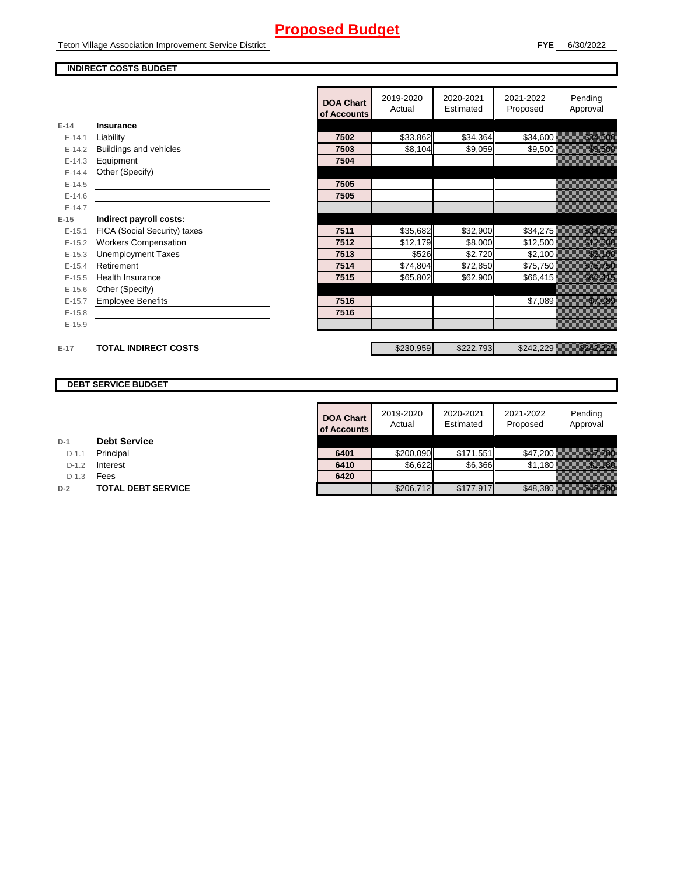Teton Village Association Improvement Service District

#### **FYE** 6/30/2022

#### **INDIRECT COSTS BUDGET**

|          |                               | <b>DOA Chart</b><br>of Accounts | 2019-2020<br>Actual | 2020-2021<br>Estimated | 2021-2022<br>Proposed | Pending<br>Approval                |
|----------|-------------------------------|---------------------------------|---------------------|------------------------|-----------------------|------------------------------------|
| $E-14$   | Insurance                     |                                 |                     |                        |                       |                                    |
| $E-14.1$ | Liability                     | 7502                            | \$33,862            | \$34,364               | \$34,600              | <u> Karl Sara</u>                  |
| $E-14.2$ | <b>Buildings and vehicles</b> | 7503                            | \$8,104             | \$9,059                | \$9,500               | <u> Karl Sara</u>                  |
| $E-14.3$ | Equipment                     | 7504                            |                     |                        |                       |                                    |
| $E-14.4$ | Other (Specify)               |                                 |                     |                        |                       |                                    |
| $E-14.5$ |                               | 7505                            |                     |                        |                       |                                    |
| $E-14.6$ |                               | 7505                            |                     |                        |                       |                                    |
| $E-14.7$ |                               |                                 |                     |                        |                       |                                    |
| $E-15$   | Indirect payroll costs:       |                                 |                     |                        |                       |                                    |
| $E-15.1$ | FICA (Social Security) taxes  | 7511                            | \$35,682            | \$32,900               | \$34,275              | <u> Karl Mariti Sarajan Saraja</u> |
| $E-15.2$ | <b>Workers Compensation</b>   | 7512                            | \$12,179            | \$8,000                | \$12,500              | <u> Hilliann ann an 197</u>        |
| $E-15.3$ | <b>Unemployment Taxes</b>     | 7513                            | \$526               | \$2,720                | \$2,100               | <u> Kalifornia (</u>               |
| $E-15.4$ | Retirement                    | 7514                            | \$74,804            | \$72,850               | \$75,750              | <u> Elizabeth Constantinople (</u> |
| $E-15.5$ | Health Insurance              | 7515                            | \$65,802            | \$62,900               | \$66,415              | <u> Karl Maria I</u>               |
| $E-15.6$ | Other (Specify)               |                                 |                     |                        |                       |                                    |
| $E-15.7$ | <b>Employee Benefits</b>      | 7516                            |                     |                        | \$7,089               | <u> Kalendari Serika</u>           |
| $E-15.8$ |                               | 7516                            |                     |                        |                       |                                    |
| $E-15.9$ |                               |                                 |                     |                        |                       |                                    |
|          |                               |                                 |                     |                        |                       |                                    |
| $E-17$   | <b>TOTAL INDIRECT COSTS</b>   |                                 | \$230,959           | \$222,793              | \$242,229             | <u> Kabupatèn Tanah Baga</u>       |

#### **DEBT SERVICE BUDGET**

| <b>DOA Chart</b><br>of Accounts | 2019-2020<br>Actual | 2020-2021<br>Estimated | 2021-2022<br>Proposed | Pending<br>Approval |
|---------------------------------|---------------------|------------------------|-----------------------|---------------------|
|                                 |                     |                        |                       |                     |
| 6401                            | \$200,090           | \$171,551              | \$47,200              |                     |
| 6410                            | \$6,622             | \$6,366                | \$1,180               |                     |
| 6420                            |                     |                        |                       |                     |
|                                 | \$206,712           | \$177,917              | \$48,380              |                     |

| D-1 |  | <b>Debt Service</b> |
|-----|--|---------------------|
|-----|--|---------------------|

D-1.1 **Principal** 

D-1.2 **Interest** 

D-1.3 **Fees** 

**D-2 TOTAL DEBT SERVICE**